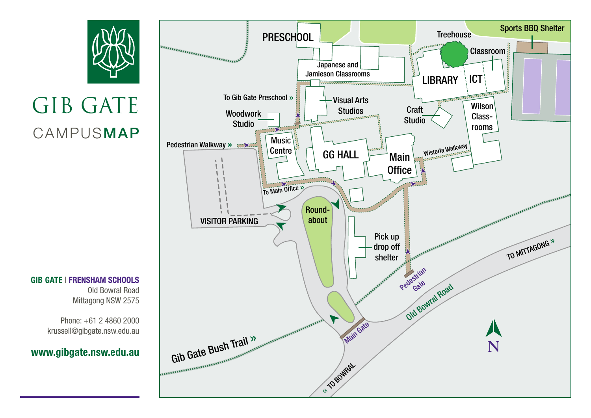## GIB GATE CAMPUSMAP

GIB GATE | FRENSHAM SCHOOLS Old Bowral Road Mittagong NSW 2575

> Phone: +61 2 4860 2000 krussell@gibgate.nsw.edu.au

## www.gibgate.nsw.edu.au